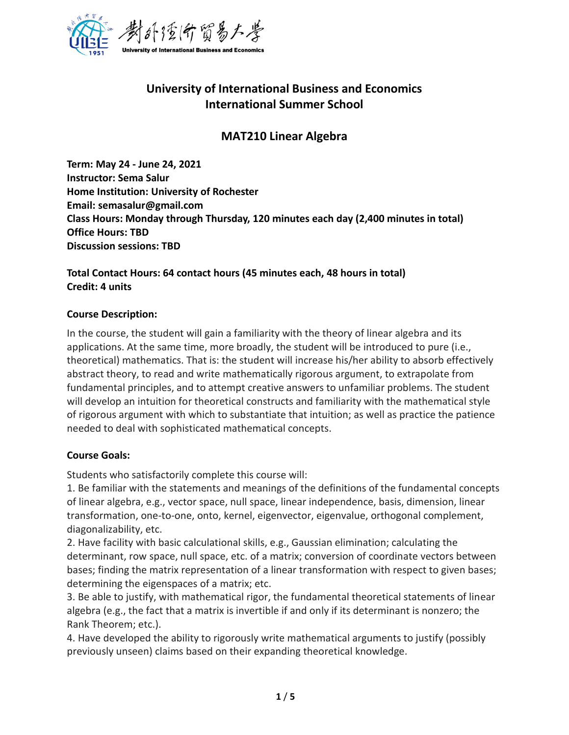

# **University of International Business and Economics International Summer School**

## **MAT210 Linear Algebra**

**Term: May 24 - June 24, 2021 Instructor: Sema Salur Home Institution: University of Rochester Email: semasalur@gmail.com Class Hours: Monday through Thursday, 120 minutes each day (2,400 minutes in total) Office Hours: TBD Discussion sessions: TBD**

### **Total Contact Hours: 64 contact hours (45 minutes each, 48 hours in total) Credit: 4 units**

### **Course Description:**

In the course, the student will gain a familiarity with the theory of linear algebra and its applications. At the same time, more broadly, the student will be introduced to pure (i.e., theoretical) mathematics. That is: the student will increase his/her ability to absorb effectively abstract theory, to read and write mathematically rigorous argument, to extrapolate from fundamental principles, and to attempt creative answers to unfamiliar problems. The student will develop an intuition for theoretical constructs and familiarity with the mathematical style of rigorous argument with which to substantiate that intuition; as well as practice the patience needed to deal with sophisticated mathematical concepts.

### **Course Goals:**

Students who satisfactorily complete this course will:

1. Be familiar with the statements and meanings of the definitions of the fundamental concepts of linear algebra, e.g., vector space, null space, linear independence, basis, dimension, linear transformation, one-to-one, onto, kernel, eigenvector, eigenvalue, orthogonal complement, diagonalizability, etc.

2. Have facility with basic calculational skills, e.g., Gaussian elimination; calculating the determinant, row space, null space, etc. of a matrix; conversion of coordinate vectors between bases; finding the matrix representation of a linear transformation with respect to given bases; determining the eigenspaces of a matrix; etc.

3. Be able to justify, with mathematical rigor, the fundamental theoretical statements of linear algebra (e.g., the fact that a matrix is invertible if and only if its determinant is nonzero; the Rank Theorem; etc.).

4. Have developed the ability to rigorously write mathematical arguments to justify (possibly previously unseen) claims based on their expanding theoretical knowledge.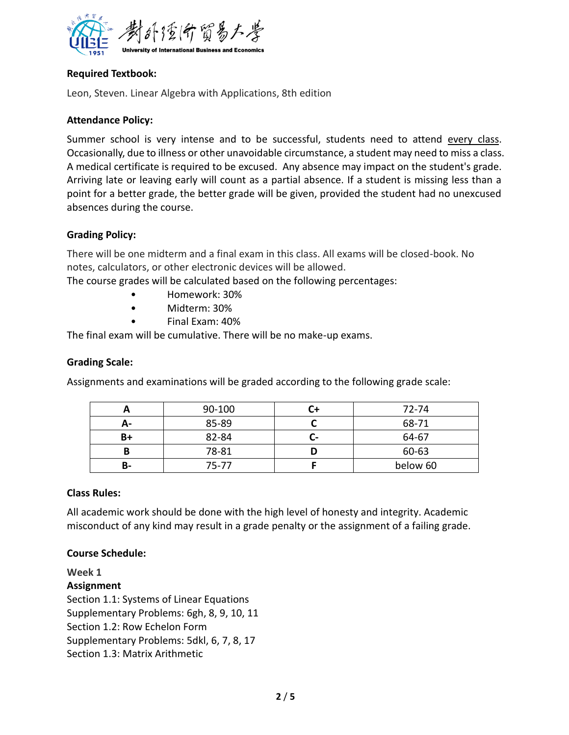

### **Required Textbook:**

Leon, Steven. Linear Algebra with Applications, 8th edition

### **Attendance Policy:**

Summer school is very intense and to be successful, students need to attend every class. Occasionally, due to illness or other unavoidable circumstance, a student may need to miss a class. A medical certificate is required to be excused. Any absence may impact on the student's grade. Arriving late or leaving early will count as a partial absence. If a student is missing less than a point for a better grade, the better grade will be given, provided the student had no unexcused absences during the course.

### **Grading Policy:**

There will be one midterm and a final exam in this class. All exams will be closed-book. No notes, calculators, or other electronic devices will be allowed.

The course grades will be calculated based on the following percentages:

- Homework: 30%
- Midterm: 30%
- Final Exam: 40%

The final exam will be cumulative. There will be no make-up exams.

### **Grading Scale:**

Assignments and examinations will be graded according to the following grade scale:

|    | 90-100 | 72-74    |
|----|--------|----------|
| А- | 85-89  | 68-71    |
| B+ | 82-84  | 64-67    |
|    | 78-81  | 60-63    |
| B- | 75-77  | below 60 |

### **Class Rules:**

All academic work should be done with the high level of honesty and integrity. Academic misconduct of any kind may result in a grade penalty or the assignment of a failing grade.

### **Course Schedule:**

**Week 1 Assignment** Section 1.1: Systems of Linear Equations Supplementary Problems: 6gh, 8, 9, 10, 11 Section 1.2: Row Echelon Form Supplementary Problems: 5dkl, 6, 7, 8, 17 Section 1.3: Matrix Arithmetic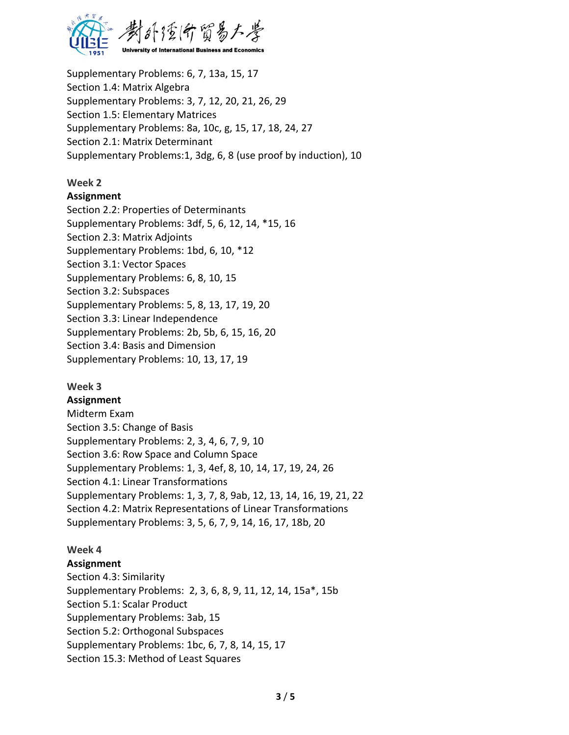

Supplementary Problems: 6, 7, 13a, 15, 17 Section 1.4: Matrix Algebra Supplementary Problems: 3, 7, 12, 20, 21, 26, 29 Section 1.5: Elementary Matrices Supplementary Problems: 8a, 10c, g, 15, 17, 18, 24, 27 Section 2.1: Matrix Determinant Supplementary Problems:1, 3dg, 6, 8 (use proof by induction), 10

### **Week 2**

### **Assignment**

Section 2.2: Properties of Determinants Supplementary Problems: 3df, 5, 6, 12, 14, \*15, 16 Section 2.3: Matrix Adjoints Supplementary Problems: 1bd, 6, 10, \*12 Section 3.1: Vector Spaces Supplementary Problems: 6, 8, 10, 15 Section 3.2: Subspaces Supplementary Problems: 5, 8, 13, 17, 19, 20 Section 3.3: Linear Independence Supplementary Problems: 2b, 5b, 6, 15, 16, 20 Section 3.4: Basis and Dimension Supplementary Problems: 10, 13, 17, 19

### **Week 3**

### **Assignment**

Midterm Exam Section 3.5: Change of Basis Supplementary Problems: 2, 3, 4, 6, 7, 9, 10 Section 3.6: Row Space and Column Space Supplementary Problems: 1, 3, 4ef, 8, 10, 14, 17, 19, 24, 26 Section 4.1: Linear Transformations Supplementary Problems: 1, 3, 7, 8, 9ab, 12, 13, 14, 16, 19, 21, 22 Section 4.2: Matrix Representations of Linear Transformations Supplementary Problems: 3, 5, 6, 7, 9, 14, 16, 17, 18b, 20

### **Week 4**

### **Assignment**

Section 4.3: Similarity Supplementary Problems: 2, 3, 6, 8, 9, 11, 12, 14, 15a\*, 15b Section 5.1: Scalar Product Supplementary Problems: 3ab, 15 Section 5.2: Orthogonal Subspaces Supplementary Problems: 1bc, 6, 7, 8, 14, 15, 17 Section 15.3: Method of Least Squares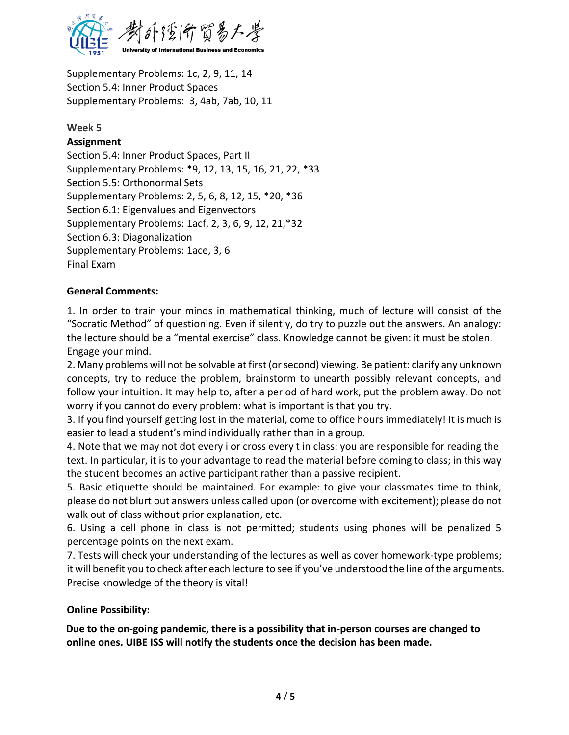

Supplementary Problems: 1c, 2, 9, 11, 14 Section 5.4: Inner Product Spaces Supplementary Problems: 3, 4ab, 7ab, 10, 11

### **Week 5**

### **Assignment**

Section 5.4: Inner Product Spaces, Part II Supplementary Problems: \*9, 12, 13, 15, 16, 21, 22, \*33 Section 5.5: Orthonormal Sets Supplementary Problems: 2, 5, 6, 8, 12, 15, \*20, \*36 Section 6.1: Eigenvalues and Eigenvectors Supplementary Problems: 1acf, 2, 3, 6, 9, 12, 21,\*32 Section 6.3: Diagonalization Supplementary Problems: 1ace, 3, 6 Final Exam

### **General Comments:**

1. In order to train your minds in mathematical thinking, much of lecture will consist of the "Socratic Method" of questioning. Even if silently, do try to puzzle out the answers. An analogy: the lecture should be a "mental exercise" class. Knowledge cannot be given: it must be stolen. Engage your mind.

2. Many problems will not be solvable at first (or second) viewing. Be patient: clarify any unknown concepts, try to reduce the problem, brainstorm to unearth possibly relevant concepts, and follow your intuition. It may help to, after a period of hard work, put the problem away. Do not worry if you cannot do every problem: what is important is that you try.

3. If you find yourself getting lost in the material, come to office hours immediately! It is much is easier to lead a student's mind individually rather than in a group.

4. Note that we may not dot every i or cross every t in class: you are responsible for reading the text. In particular, it is to your advantage to read the material before coming to class; in this way the student becomes an active participant rather than a passive recipient.

5. Basic etiquette should be maintained. For example: to give your classmates time to think, please do not blurt out answers unless called upon (or overcome with excitement); please do not walk out of class without prior explanation, etc.

6. Using a cell phone in class is not permitted; students using phones will be penalized 5 percentage points on the next exam.

7. Tests will check your understanding of the lectures as well as cover homework-type problems; it will benefit you to check after each lecture to see if you've understood the line of the arguments. Precise knowledge of the theory is vital!

### **Online Possibility:**

**Due to the on-going pandemic, there is a possibility that in-person courses are changed to online ones. UIBE ISS will notify the students once the decision has been made.**